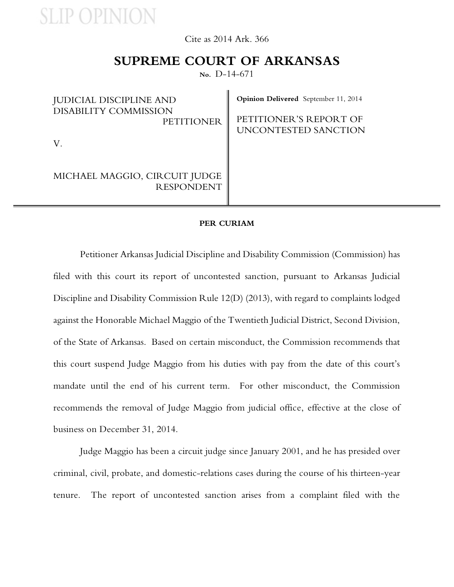**SLIP OPINION** 

Cite as 2014 Ark. 366

## **SUPREME COURT OF ARKANSAS**

**No.** D-14-671

| <b>JUDICIAL DISCIPLINE AND</b><br>DISABILITY COMMISSION<br><b>PETITIONER</b> | <b>Opinion Delivered</b> September 11, 2014<br>PETITIONER'S REPORT OF<br>UNCONTESTED SANCTION |
|------------------------------------------------------------------------------|-----------------------------------------------------------------------------------------------|
|                                                                              |                                                                                               |
| MICHAEL MAGGIO, CIRCUIT JUDGE<br><b>RESPONDENT</b>                           |                                                                                               |

#### **PER CURIAM**

Petitioner Arkansas Judicial Discipline and Disability Commission (Commission) has filed with this court its report of uncontested sanction, pursuant to Arkansas Judicial Discipline and Disability Commission Rule 12(D) (2013), with regard to complaints lodged against the Honorable Michael Maggio of the Twentieth Judicial District, Second Division, of the State of Arkansas. Based on certain misconduct, the Commission recommends that this court suspend Judge Maggio from his duties with pay from the date of this court's mandate until the end of his current term. For other misconduct, the Commission recommends the removal of Judge Maggio from judicial office, effective at the close of business on December 31, 2014.

Judge Maggio has been a circuit judge since January 2001, and he has presided over criminal, civil, probate, and domestic-relations cases during the course of his thirteen-year tenure. The report of uncontested sanction arises from a complaint filed with the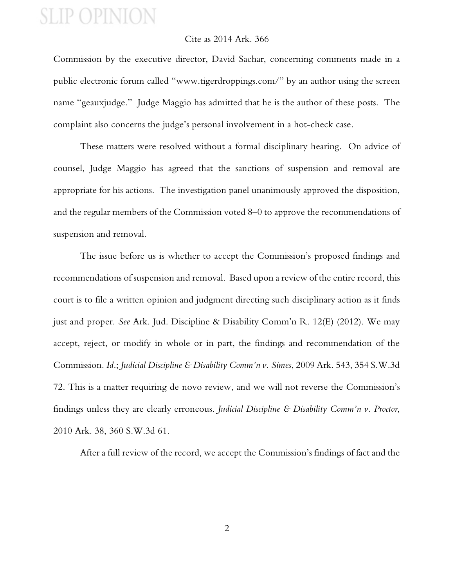# **SLIP OPINION**

### Cite as 2014 Ark. 366

Commission by the executive director, David Sachar, concerning comments made in a public electronic forum called "www.tigerdroppings.com/" by an author using the screen name "geauxjudge." Judge Maggio has admitted that he is the author of these posts. The complaint also concerns the judge's personal involvement in a hot-check case.

These matters were resolved without a formal disciplinary hearing. On advice of counsel, Judge Maggio has agreed that the sanctions of suspension and removal are appropriate for his actions. The investigation panel unanimously approved the disposition, and the regular members of the Commission voted 8–0 to approve the recommendations of suspension and removal.

The issue before us is whether to accept the Commission's proposed findings and recommendations of suspension and removal. Based upon a review of the entire record, this court is to file a written opinion and judgment directing such disciplinary action as it finds just and proper. *See* Ark. Jud. Discipline & Disability Comm'n R. 12(E) (2012). We may accept, reject, or modify in whole or in part, the findings and recommendation of the Commission. *Id*.; *Judicial Discipline & Disability Comm'n v. Simes*, 2009 Ark. 543, 354 S.W.3d 72. This is a matter requiring de novo review, and we will not reverse the Commission's findings unless they are clearly erroneous. *Judicial Discipline & Disability Comm'n v. Proctor*, 2010 Ark. 38, 360 S.W.3d 61.

After a full review of the record, we accept the Commission's findings of fact and the